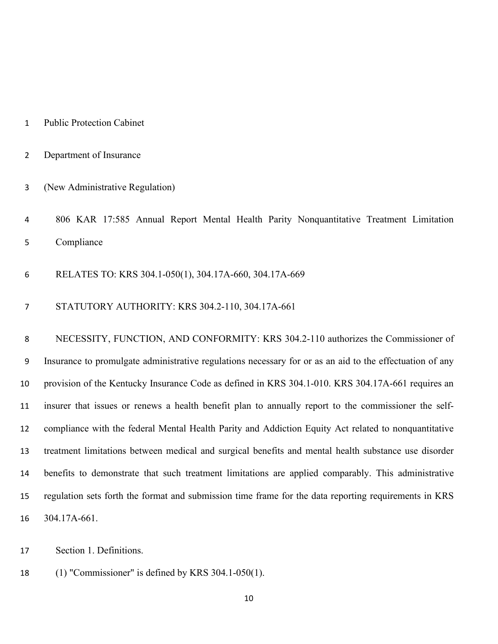- Public Protection Cabinet
- Department of Insurance
- (New Administrative Regulation)
- 806 KAR 17:585 Annual Report Mental Health Parity Nonquantitative Treatment Limitation Compliance
- RELATES TO: KRS 304.1-050(1), 304.17A-660, 304.17A-669
- STATUTORY AUTHORITY: KRS 304.2-110, 304.17A-661

 NECESSITY, FUNCTION, AND CONFORMITY: KRS 304.2-110 authorizes the Commissioner of Insurance to promulgate administrative regulations necessary for or as an aid to the effectuation of any provision of the Kentucky Insurance Code as defined in KRS 304.1-010. KRS 304.17A-661 requires an insurer that issues or renews a health benefit plan to annually report to the commissioner the self- compliance with the federal Mental Health Parity and Addiction Equity Act related to nonquantitative treatment limitations between medical and surgical benefits and mental health substance use disorder benefits to demonstrate that such treatment limitations are applied comparably. This administrative regulation sets forth the format and submission time frame for the data reporting requirements in KRS 304.17A-661.

Section 1. Definitions.

(1) "Commissioner" is defined by KRS 304.1-050(1).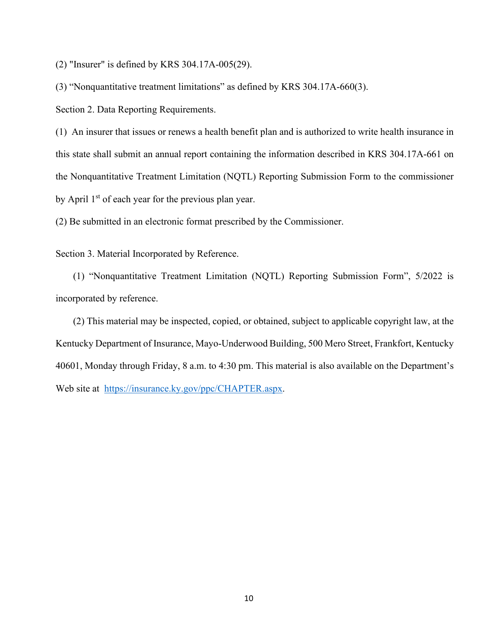(2) "Insurer" is defined by KRS 304.17A-005(29).

(3) "Nonquantitative treatment limitations" as defined by KRS 304.17A-660(3).

Section 2. Data Reporting Requirements.

(1) An insurer that issues or renews a health benefit plan and is authorized to write health insurance in this state shall submit an annual report containing the information described in KRS 304.17A-661 on the Nonquantitative Treatment Limitation (NQTL) Reporting Submission Form to the commissioner by April  $1<sup>st</sup>$  of each year for the previous plan year.

(2) Be submitted in an electronic format prescribed by the Commissioner.

Section 3. Material Incorporated by Reference.

(1) "Nonquantitative Treatment Limitation (NQTL) Reporting Submission Form", 5/2022 is incorporated by reference.

(2) This material may be inspected, copied, or obtained, subject to applicable copyright law, at the Kentucky Department of Insurance, Mayo-Underwood Building, 500 Mero Street, Frankfort, Kentucky 40601, Monday through Friday, 8 a.m. to 4:30 pm. This material is also available on the Department's Web site at [https://insurance.ky.gov/ppc/CHAPTER.aspx.](https://insurance.ky.gov/ppc/CHAPTER.aspx)